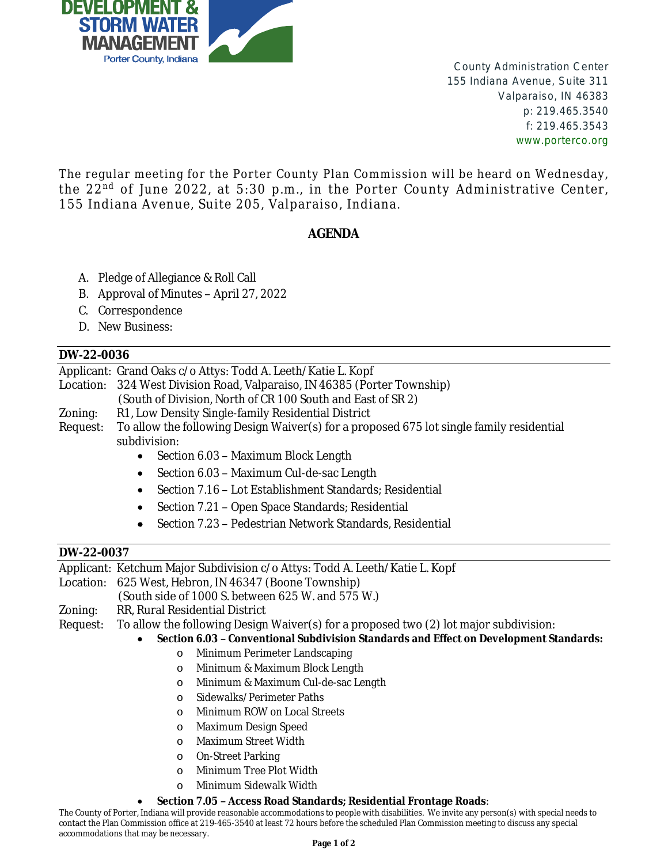

County Administration Center 155 Indiana Avenue, Suite 311 Valparaiso, IN 46383 p: 219.465.3540 f: 219.465.3543 www.porterco.org

The regular meeting for the Porter County Plan Commission will be heard on Wednesday, the 22<sup>nd</sup> of June 2022, at 5:30 p.m., in the Porter County Administrative Center, 155 Indiana Avenue, Suite 205, Valparaiso, Indiana.

## **AGENDA**

- A. Pledge of Allegiance & Roll Call
- B. Approval of Minutes April 27, 2022
- C. Correspondence
- D. New Business:

## **DW-22-0036**

Applicant: Grand Oaks c/o Attys: Todd A. Leeth/Katie L. Kopf Location: 324 West Division Road, Valparaiso, IN 46385 (Porter Township) (South of Division, North of CR 100 South and East of SR 2) Zoning: R1, Low Density Single-family Residential District Request: To allow the following Design Waiver(s) for a proposed 675 lot single family residential subdivision: • Section 6.03 - Maximum Block Length

- Section 6.03 Maximum Cul-de-sac Length
- Section 7.16 Lot Establishment Standards; Residential
- Section 7.21 Open Space Standards; Residential
- Section 7.23 Pedestrian Network Standards, Residential

## **DW-22-0037**

Applicant: Ketchum Major Subdivision c/o Attys: Todd A. Leeth/Katie L. Kopf

Location: 625 West, Hebron, IN 46347 (Boone Township)

(South side of 1000 S. between 625 W. and 575 W.)

- Zoning: RR, Rural Residential District
- Request: To allow the following Design Waiver(s) for a proposed two (2) lot major subdivision:

**Section 6.03 – Conventional Subdivision Standards and Effect on Development Standards:**

- o Minimum Perimeter Landscaping
- o Minimum & Maximum Block Length
- o Minimum & Maximum Cul-de-sac Length
- o Sidewalks/Perimeter Paths
- o Minimum ROW on Local Streets
- o Maximum Design Speed
- o Maximum Street Width
- o On-Street Parking
- o Minimum Tree Plot Width
- o Minimum Sidewalk Width

## **Section 7.05 – Access Road Standards; Residential Frontage Roads**:

The County of Porter, Indiana will provide reasonable accommodations to people with disabilities. We invite any person(s) with special needs to contact the Plan Commission office at 219-465-3540 at least 72 hours before the scheduled Plan Commission meeting to discuss any special accommodations that may be necessary.